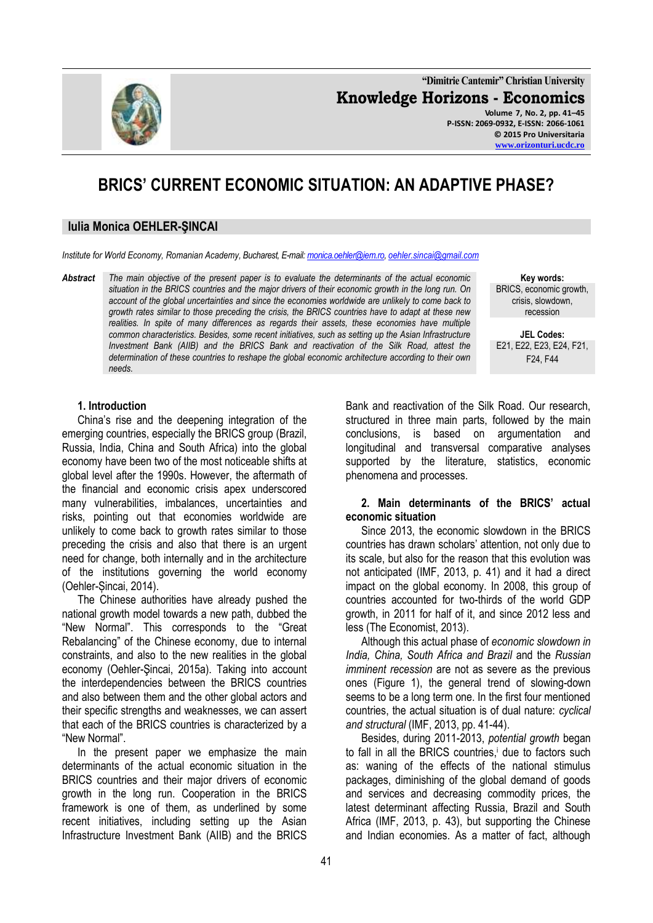**"Dimitrie Cantemir" Christian University Knowledge Horizons - Economics Volume 7, No. 2, pp. 41–45 P-ISSN: 2069-0932, E-ISSN: 2066-1061 © 2015 Pro Universitaria**

# **BRICS' CURRENT ECONOMIC SITUATION: AN ADAPTIVE PHASE?**

### **Iulia Monica OEHLER-ŞINCAI**

*Institute for World Economy, Romanian Academy, Bucharest, E-mail[: monica.oehler@iem.ro,](mailto:monica.oehler@iem.ro) [oehler.sincai@gmail.com](mailto:oehler.sincai@gmail.com)*

*Abstract The main objective of the present paper is to evaluate the determinants of the actual economic situation in the BRICS countries and the major drivers of their economic growth in the long run. On account of the global uncertainties and since the economies worldwide are unlikely to come back to growth rates similar to those preceding the crisis, the BRICS countries have to adapt at these new realities. In spite of many differences as regards their assets, these economies have multiple common characteristics. Besides, some recent initiatives, such as setting up the Asian Infrastructure Investment Bank (AIIB) and the BRICS Bank and reactivation of the Silk Road, attest the determination of these countries to reshape the global economic architecture according to their own needs.* 

**Key words:** BRICS, economic growth, crisis, slowdown, recession

**JEL Codes:** E21, E22, E23, E24, F21, F24, F44

#### **1. Introduction**

China's rise and the deepening integration of the emerging countries, especially the BRICS group (Brazil, Russia, India, China and South Africa) into the global economy have been two of the most noticeable shifts at global level after the 1990s. However, the aftermath of the financial and economic crisis apex underscored many vulnerabilities, imbalances, uncertainties and risks, pointing out that economies worldwide are unlikely to come back to growth rates similar to those preceding the crisis and also that there is an urgent need for change, both internally and in the architecture of the institutions governing the world economy (Oehler-Șincai, 2014).

The Chinese authorities have already pushed the national growth model towards a new path, dubbed the "New Normal". This corresponds to the "Great Rebalancing" of the Chinese economy, due to internal constraints, and also to the new realities in the global economy (Oehler-Şincai, 2015a). Taking into account the interdependencies between the BRICS countries and also between them and the other global actors and their specific strengths and weaknesses, we can assert that each of the BRICS countries is characterized by a "New Normal".

In the present paper we emphasize the main determinants of the actual economic situation in the BRICS countries and their major drivers of economic growth in the long run. Cooperation in the BRICS framework is one of them, as underlined by some recent initiatives, including setting up the Asian Infrastructure Investment Bank (AIIB) and the BRICS

Bank and reactivation of the Silk Road. Our research, structured in three main parts, followed by the main conclusions, is based on argumentation and longitudinal and transversal comparative analyses supported by the literature, statistics, economic phenomena and processes.

## **2. Main determinants of the BRICS' actual economic situation**

Since 2013, the economic slowdown in the BRICS countries has drawn scholars' attention, not only due to its scale, but also for the reason that this evolution was not anticipated (IMF, 2013, p. 41) and it had a direct impact on the global economy. In 2008, this group of countries accounted for two-thirds of the world GDP growth, in 2011 for half of it, and since 2012 less and less (The Economist, 2013).

Although this actual phase of *economic slowdown in India, China, South Africa and Brazil* and the *Russian imminent recession* are not as severe as the previous ones (Figure 1), the general trend of slowing-down seems to be a long term one. In the first four mentioned countries, the actual situation is of dual nature: *cyclical and structural* (IMF, 2013, pp. 41-44).

Besides, during 2011-2013, *potential growth* began to fall in all the BRICS countries,<sup>i</sup> due to factors such as: waning of the effects of the national stimulus packages, diminishing of the global demand of goods and services and decreasing commodity prices, the latest determinant affecting Russia, Brazil and South Africa (IMF, 2013, p. 43), but supporting the Chinese and Indian economies. As a matter of fact, although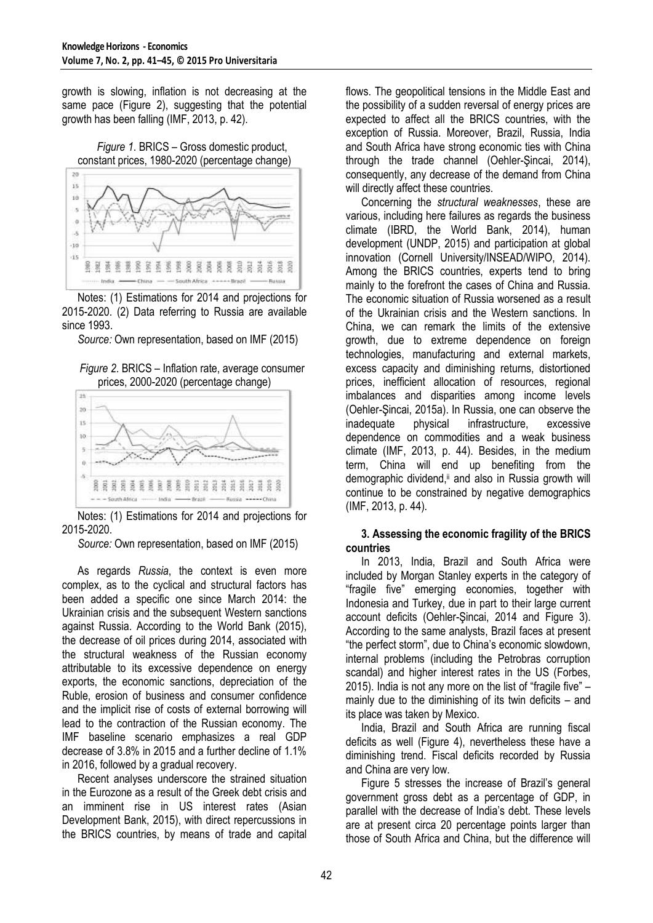growth is slowing, inflation is not decreasing at the same pace (Figure 2), suggesting that the potential growth has been falling (IMF, 2013, p. 42).

*Figure 1*. BRICS – Gross domestic product, constant prices, 1980-2020 (percentage change)



Notes: (1) Estimations for 2014 and projections for 2015-2020. (2) Data referring to Russia are available since 1993.

*Source:* Own representation, based on IMF (2015)





Notes: (1) Estimations for 2014 and projections for 2015-2020.

*Source:* Own representation, based on IMF (2015)

As regards *Russia*, the context is even more complex, as to the cyclical and structural factors has been added a specific one since March 2014: the Ukrainian crisis and the subsequent Western sanctions against Russia. According to the World Bank (2015), the decrease of oil prices during 2014, associated with the structural weakness of the Russian economy attributable to its excessive dependence on energy exports, the economic sanctions, depreciation of the Ruble, erosion of business and consumer confidence and the implicit rise of costs of external borrowing will lead to the contraction of the Russian economy. The IMF baseline scenario emphasizes a real GDP decrease of 3.8% in 2015 and a further decline of 1.1% in 2016, followed by a gradual recovery.

Recent analyses underscore the strained situation in the Eurozone as a result of the Greek debt crisis and an imminent rise in US interest rates (Asian Development Bank, 2015), with direct repercussions in the BRICS countries, by means of trade and capital flows. The geopolitical tensions in the Middle East and the possibility of a sudden reversal of energy prices are expected to affect all the BRICS countries, with the exception of Russia. Moreover, Brazil, Russia, India and South Africa have strong economic ties with China through the trade channel (Oehler-Şincai, 2014), consequently, any decrease of the demand from China will directly affect these countries.

Concerning the *structural weaknesses*, these are various, including here failures as regards the business climate (IBRD, the World Bank, 2014), human development (UNDP, 2015) and participation at global innovation (Cornell University/INSEAD/WIPO, 2014). Among the BRICS countries, experts tend to bring mainly to the forefront the cases of China and Russia. The economic situation of Russia worsened as a result of the Ukrainian crisis and the Western sanctions. In China, we can remark the limits of the extensive growth, due to extreme dependence on foreign technologies, manufacturing and external markets, excess capacity and diminishing returns, distortioned prices, inefficient allocation of resources, regional imbalances and disparities among income levels (Oehler-Şincai, 2015a). In Russia, one can observe the inadequate physical infrastructure, excessive dependence on commodities and a weak business climate (IMF, 2013, p. 44). Besides, in the medium term, China will end up benefiting from the demographic dividend,<sup>ii</sup> and also in Russia growth will continue to be constrained by negative demographics (IMF, 2013, p. 44).

## **3. Assessing the economic fragility of the BRICS countries**

In 2013, India, Brazil and South Africa were included by Morgan Stanley experts in the category of "fragile five" emerging economies, together with Indonesia and Turkey, due in part to their large current account deficits (Oehler-Şincai, 2014 and Figure 3). According to the same analysts, Brazil faces at present "the perfect storm", due to China's economic slowdown, internal problems (including the Petrobras corruption scandal) and higher interest rates in the US (Forbes, 2015). India is not any more on the list of "fragile five" – mainly due to the diminishing of its twin deficits – and its place was taken by Mexico.

India, Brazil and South Africa are running fiscal deficits as well (Figure 4), nevertheless these have a diminishing trend. Fiscal deficits recorded by Russia and China are very low.

Figure 5 stresses the increase of Brazil's general government gross debt as a percentage of GDP, in parallel with the decrease of India's debt. These levels are at present circa 20 percentage points larger than those of South Africa and China, but the difference will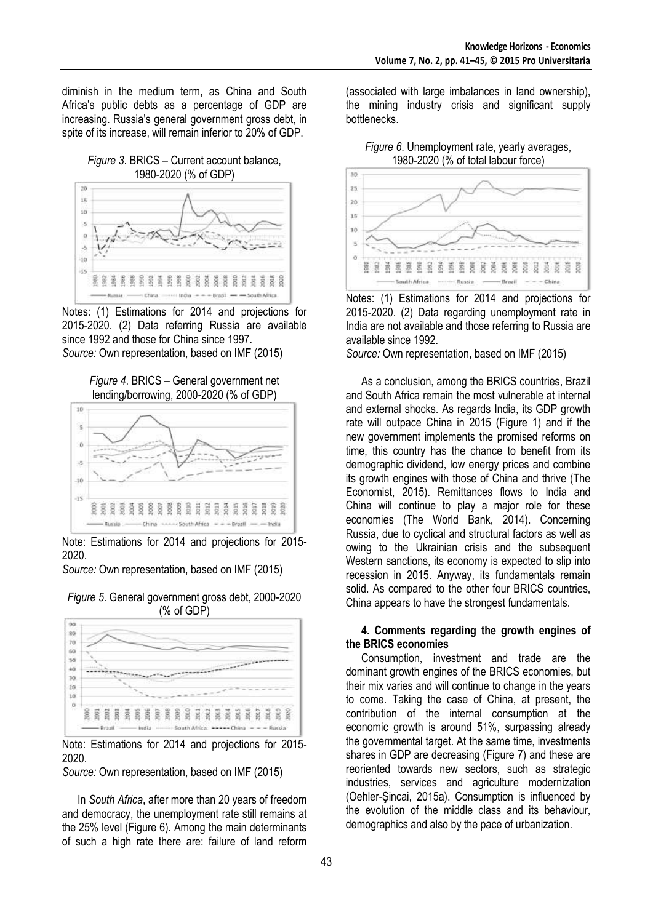diminish in the medium term, as China and South Africa's public debts as a percentage of GDP are increasing. Russia's general government gross debt, in spite of its increase, will remain inferior to 20% of GDP.

### *Figure 3*. BRICS – Current account balance, 1980-2020 (% of GDP)



Notes: (1) Estimations for 2014 and projections for 2015-2020. (2) Data referring Russia are available since 1992 and those for China since 1997.

*Source:* Own representation, based on IMF (2015)





Note: Estimations for 2014 and projections for 2015- 2020.

*Source:* Own representation, based on IMF (2015)





Note: Estimations for 2014 and projections for 2015- 2020.

*Source:* Own representation, based on IMF (2015)

In *South Africa*, after more than 20 years of freedom and democracy, the unemployment rate still remains at the 25% level (Figure 6). Among the main determinants of such a high rate there are: failure of land reform (associated with large imbalances in land ownership), the mining industry crisis and significant supply bottlenecks.

*Figure 6*. Unemployment rate, yearly averages, 1980-2020 (% of total labour force)



Notes: (1) Estimations for 2014 and projections for 2015-2020. (2) Data regarding unemployment rate in India are not available and those referring to Russia are available since 1992.

*Source:* Own representation, based on IMF (2015)

As a conclusion, among the BRICS countries, Brazil and South Africa remain the most vulnerable at internal and external shocks. As regards India, its GDP growth rate will outpace China in 2015 (Figure 1) and if the new government implements the promised reforms on time, this country has the chance to benefit from its demographic dividend, low energy prices and combine its growth engines with those of China and thrive (The Economist, 2015). Remittances flows to India and China will continue to play a major role for these economies (The World Bank, 2014). Concerning Russia, due to cyclical and structural factors as well as owing to the Ukrainian crisis and the subsequent Western sanctions, its economy is expected to slip into recession in 2015. Anyway, its fundamentals remain solid. As compared to the other four BRICS countries, China appears to have the strongest fundamentals.

## **4. Comments regarding the growth engines of the BRICS economies**

Consumption, investment and trade are the dominant growth engines of the BRICS economies, but their mix varies and will continue to change in the years to come. Taking the case of China, at present, the contribution of the internal consumption at the economic growth is around 51%, surpassing already the governmental target. At the same time, investments shares in GDP are decreasing (Figure 7) and these are reoriented towards new sectors, such as strategic industries, services and agriculture modernization (Oehler-Şincai, 2015a). Consumption is influenced by the evolution of the middle class and its behaviour, demographics and also by the pace of urbanization.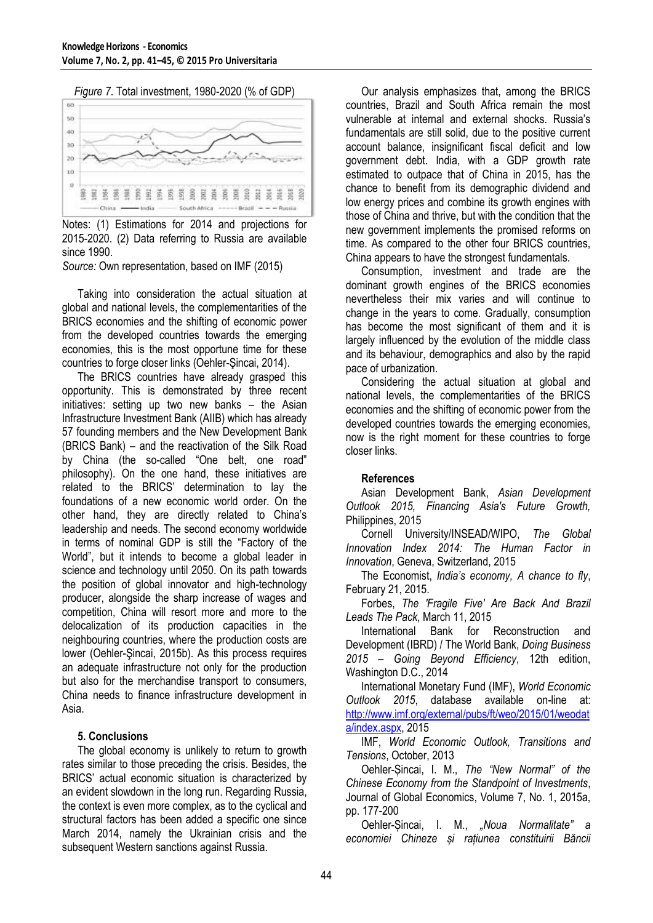*Figure 7*. Total investment, 1980-2020 (% of GDP)



Notes: (1) Estimations for 2014 and projections for 2015-2020. (2) Data referring to Russia are available since 1990.

*Source:* Own representation, based on IMF (2015)

Taking into consideration the actual situation at global and national levels, the complementarities of the BRICS economies and the shifting of economic power from the developed countries towards the emerging economies, this is the most opportune time for these countries to forge closer links (Oehler-Şincai, 2014).

The BRICS countries have already grasped this opportunity. This is demonstrated by three recent initiatives: setting up two new banks – the Asian Infrastructure Investment Bank (AIIB) which has already 57 founding members and the New Development Bank (BRICS Bank) – and the reactivation of the Silk Road by China (the so-called "One belt, one road" philosophy). On the one hand, these initiatives are related to the BRICS' determination to lay the foundations of a new economic world order. On the other hand, they are directly related to China's leadership and needs. The second economy worldwide in terms of nominal GDP is still the "Factory of the World", but it intends to become a global leader in science and technology until 2050. On its path towards the position of global innovator and high-technology producer, alongside the sharp increase of wages and competition, China will resort more and more to the delocalization of its production capacities in the neighbouring countries, where the production costs are lower (Oehler-Şincai, 2015b). As this process requires an adequate infrastructure not only for the production but also for the merchandise transport to consumers, China needs to finance infrastructure development in Asia.

## **5. Conclusions**

The global economy is unlikely to return to growth rates similar to those preceding the crisis. Besides, the BRICS' actual economic situation is characterized by an evident slowdown in the long run. Regarding Russia, the context is even more complex, as to the cyclical and structural factors has been added a specific one since March 2014, namely the Ukrainian crisis and the subsequent Western sanctions against Russia.

Our analysis emphasizes that, among the BRICS countries, Brazil and South Africa remain the most vulnerable at internal and external shocks. Russia's fundamentals are still solid, due to the positive current account balance, insignificant fiscal deficit and low government debt. India, with a GDP growth rate estimated to outpace that of China in 2015, has the chance to benefit from its demographic dividend and low energy prices and combine its growth engines with those of China and thrive, but with the condition that the new government implements the promised reforms on time. As compared to the other four BRICS countries, China appears to have the strongest fundamentals.

Consumption, investment and trade are the dominant growth engines of the BRICS economies nevertheless their mix varies and will continue to change in the years to come. Gradually, consumption has become the most significant of them and it is largely influenced by the evolution of the middle class and its behaviour, demographics and also by the rapid pace of urbanization.

Considering the actual situation at global and national levels, the complementarities of the BRICS economies and the shifting of economic power from the developed countries towards the emerging economies, now is the right moment for these countries to forge closer links.

## **References**

Asian Development Bank, *Asian Development Outlook 2015, Financing Asia's Future Growth,*  Philippines, 2015

Cornell University/INSEAD/WIPO, *The Global Innovation Index 2014: The Human Factor in Innovation*, Geneva, Switzerland, 2015

The Economist, *India's economy, A chance to fly*, February 21, 2015.

Forbes, *The 'Fragile Five' Are Back And Brazil Leads The Pack*, March 11, 2015

International Bank for Reconstruction and Development (IBRD) / The World Bank, *Doing Business 2015 – Going Beyond Efficiency*, 12th edition, Washington D.C., 2014

International Monetary Fund (IMF), *World Economic Outlook 2015*, database available on-line at: [http://www.imf.org/external/pubs/ft/weo/2015/01/weodat](http://www.imf.org/external/pubs/ft/weo/2015/01/weodata/index.aspx) [a/index.aspx,](http://www.imf.org/external/pubs/ft/weo/2015/01/weodata/index.aspx) 2015

IMF, *World Economic Outlook, Transitions and Tensions*, October, 2013

Oehler-Șincai, I. M., *The "New Normal" of the Chinese Economy from the Standpoint of Investments*, Journal of Global Economics, Volume 7, No. 1, 2015a, pp. 177-200

Oehler-Șincai, I. M., *"Noua Normalitate" a economiei Chineze și rațiunea constituirii Băncii*